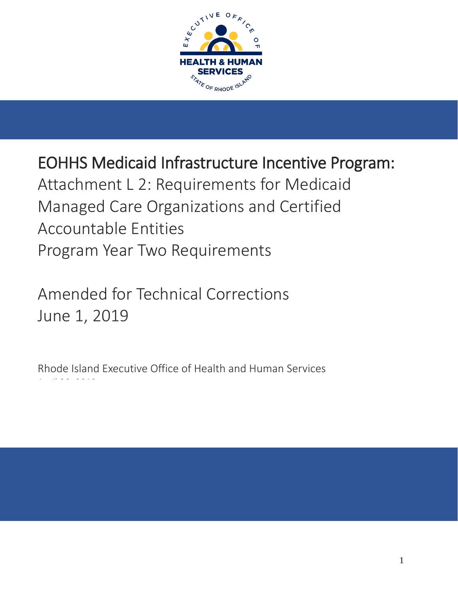

EOHHS Medicaid Infrastructure Incentive Program: Attachment L 2: Requirements for Medicaid Managed Care Organizations and Certified Accountable Entities Program Year Two Requirements

Amended for Technical Corrections June 1, 2019

Rhode Island Executive Office of Health and Human Services April 30, 2019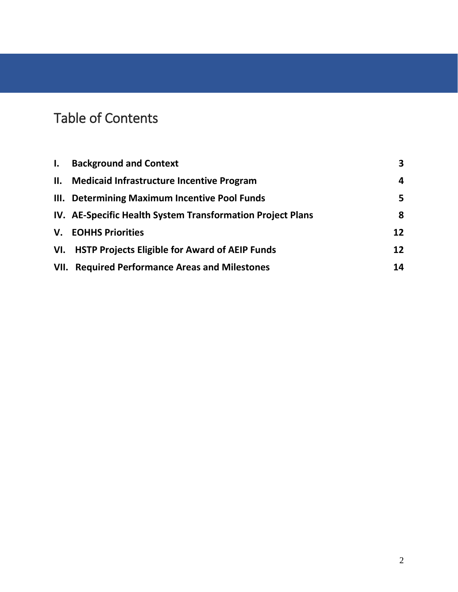# Table of Contents

| $\mathbf{I}$ . | <b>Background and Context</b>                              | $\overline{\mathbf{3}}$ |
|----------------|------------------------------------------------------------|-------------------------|
|                | II. Medicaid Infrastructure Incentive Program              | 4                       |
|                | III. Determining Maximum Incentive Pool Funds              | 5                       |
|                | IV. AE-Specific Health System Transformation Project Plans | 8                       |
|                | <b>V.</b> EOHHS Priorities                                 | 12                      |
| VI.            | <b>HSTP Projects Eligible for Award of AEIP Funds</b>      | 12                      |
|                | <b>VII. Required Performance Areas and Milestones</b>      | 14                      |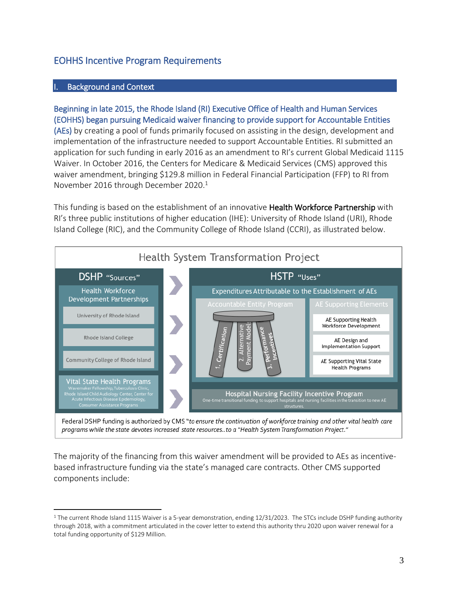# EOHHS Incentive Program Requirements

#### Background and Context

 $\overline{a}$ 

Beginning in late 2015, the Rhode Island (RI) Executive Office of Health and Human Services (EOHHS) began pursuing Medicaid waiver financing to provide support for Accountable Entities (AEs) by creating a pool of funds primarily focused on assisting in the design, development and implementation of the infrastructure needed to support Accountable Entities. RI submitted an application for such funding in early 2016 as an amendment to RI's current Global Medicaid 1115 Waiver. In October 2016, the Centers for Medicare & Medicaid Services (CMS) approved this waiver amendment, bringing \$129.8 million in Federal Financial Participation (FFP) to RI from November 2016 through December 2020. 1

This funding is based on the establishment of an innovative Health Workforce Partnership with RI's three public institutions of higher education (IHE): University of Rhode Island (URI), Rhode Island College (RIC), and the Community College of Rhode Island (CCRI), as illustrated below.



programs while the state devotes increased state resources..to a "Health System Transformation Project."

The majority of the financing from this waiver amendment will be provided to AEs as incentivebased infrastructure funding via the state's managed care contracts. Other CMS supported components include:

<sup>&</sup>lt;sup>1</sup> The current Rhode Island 1115 Waiver is a 5-year demonstration, ending 12/31/2023. The STCs include DSHP funding authority through 2018, with a commitment articulated in the cover letter to extend this authority thru 2020 upon waiver renewal for a total funding opportunity of \$129 Million.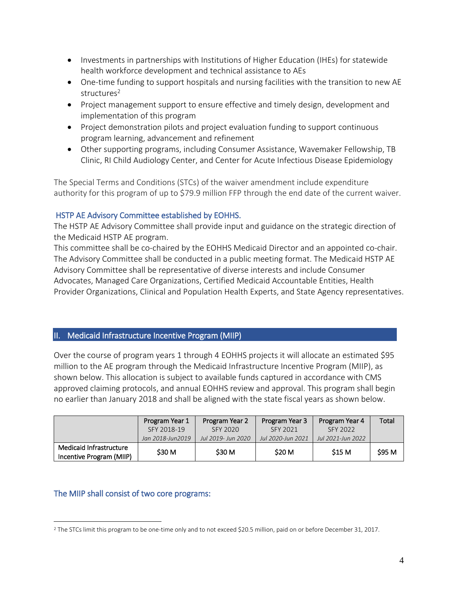- Investments in partnerships with Institutions of Higher Education (IHEs) for statewide health workforce development and technical assistance to AEs
- One-time funding to support hospitals and nursing facilities with the transition to new AE structures<sup>2</sup>
- Project management support to ensure effective and timely design, development and implementation of this program
- Project demonstration pilots and project evaluation funding to support continuous program learning, advancement and refinement
- Other supporting programs, including Consumer Assistance, Wavemaker Fellowship, TB Clinic, RI Child Audiology Center, and Center for Acute Infectious Disease Epidemiology

The Special Terms and Conditions (STCs) of the waiver amendment include expenditure authority for this program of up to \$79.9 million FFP through the end date of the current waiver.

## HSTP AE Advisory Committee established by EOHHS.

The HSTP AE Advisory Committee shall provide input and guidance on the strategic direction of the Medicaid HSTP AE program.

This committee shall be co-chaired by the EOHHS Medicaid Director and an appointed co-chair. The Advisory Committee shall be conducted in a public meeting format. The Medicaid HSTP AE Advisory Committee shall be representative of diverse interests and include Consumer Advocates, Managed Care Organizations, Certified Medicaid Accountable Entities, Health Provider Organizations, Clinical and Population Health Experts, and State Agency representatives.

# II. Medicaid Infrastructure Incentive Program (MIIP)

Over the course of program years 1 through 4 EOHHS projects it will allocate an estimated \$95 million to the AE program through the Medicaid Infrastructure Incentive Program (MIIP), as shown below. This allocation is subject to available funds captured in accordance with CMS approved claiming protocols, and annual EOHHS review and approval. This program shall begin no earlier than January 2018 and shall be aligned with the state fiscal years as shown below.

|                                                     | Program Year 1   | Program Year 2     | Program Year 3    | Program Year 4    | Total  |
|-----------------------------------------------------|------------------|--------------------|-------------------|-------------------|--------|
|                                                     | SFY 2018-19      | SFY 2020           | SFY 2021          | SFY 2022          |        |
|                                                     | Jan 2018-Jun2019 | Jul 2019- Jun 2020 | Jul 2020-Jun 2021 | Jul 2021-Jun 2022 |        |
| Medicaid Infrastructure<br>Incentive Program (MIIP) | \$30 M           | \$30 M             | <b>S20 M</b>      | <b>S15 M</b>      | \$95 M |

## The MIIP shall consist of two core programs:

 $\overline{a}$ <sup>2</sup> The STCs limit this program to be one-time only and to not exceed \$20.5 million, paid on or before December 31, 2017.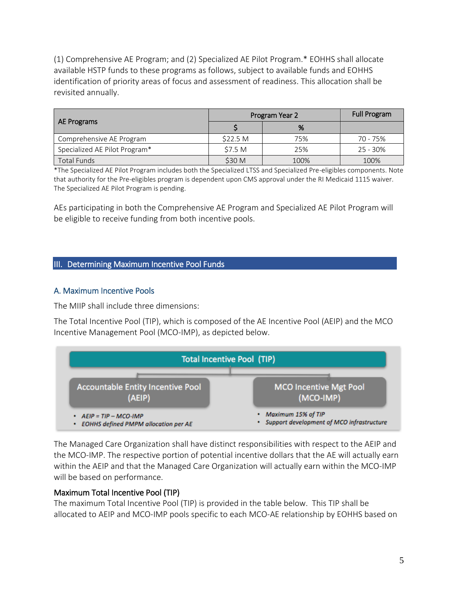(1) Comprehensive AE Program; and (2) Specialized AE Pilot Program.\* EOHHS shall allocate available HSTP funds to these programs as follows, subject to available funds and EOHHS identification of priority areas of focus and assessment of readiness. This allocation shall be revisited annually.

|                               | Program Year 2      | <b>Full Program</b> |            |
|-------------------------------|---------------------|---------------------|------------|
| AE Programs                   |                     | %                   |            |
| Comprehensive AE Program      | \$22.5 <sub>M</sub> | 75%                 | 70 - 75%   |
| Specialized AE Pilot Program* | \$7.5 M             | 25%                 | $25 - 30%$ |
| <b>Total Funds</b>            | \$30 M              | 100%                | 100%       |

\*The Specialized AE Pilot Program includes both the Specialized LTSS and Specialized Pre-eligibles components. Note that authority for the Pre-eligibles program is dependent upon CMS approval under the RI Medicaid 1115 waiver. The Specialized AE Pilot Program is pending.

AEs participating in both the Comprehensive AE Program and Specialized AE Pilot Program will be eligible to receive funding from both incentive pools.

#### III. Determining Maximum Incentive Pool Funds

#### A. Maximum Incentive Pools

The MIIP shall include three dimensions:

The Total Incentive Pool (TIP), which is composed of the AE Incentive Pool (AEIP) and the MCO Incentive Management Pool (MCO-IMP), as depicted below.



The Managed Care Organization shall have distinct responsibilities with respect to the AEIP and the MCO-IMP. The respective portion of potential incentive dollars that the AE will actually earn within the AEIP and that the Managed Care Organization will actually earn within the MCO-IMP will be based on performance.

#### Maximum Total Incentive Pool (TIP)

The maximum Total Incentive Pool (TIP) is provided in the table below. This TIP shall be allocated to AEIP and MCO-IMP pools specific to each MCO-AE relationship by EOHHS based on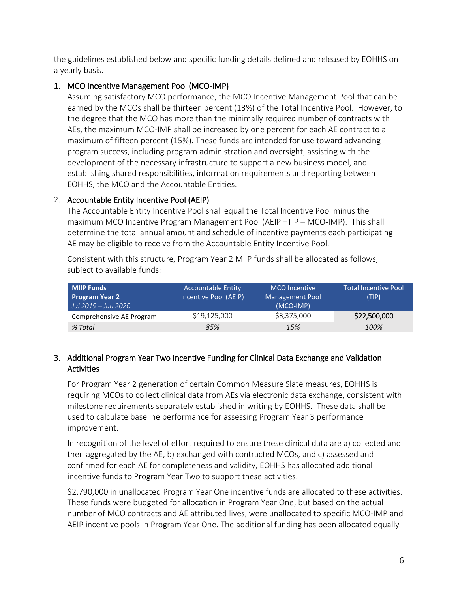the guidelines established below and specific funding details defined and released by EOHHS on a yearly basis.

## 1. MCO Incentive Management Pool (MCO-IMP)

Assuming satisfactory MCO performance, the MCO Incentive Management Pool that can be earned by the MCOs shall be thirteen percent (13%) of the Total Incentive Pool. However, to the degree that the MCO has more than the minimally required number of contracts with AEs, the maximum MCO-IMP shall be increased by one percent for each AE contract to a maximum of fifteen percent (15%). These funds are intended for use toward advancing program success, including program administration and oversight, assisting with the development of the necessary infrastructure to support a new business model, and establishing shared responsibilities, information requirements and reporting between EOHHS, the MCO and the Accountable Entities.

## 2. Accountable Entity Incentive Pool (AEIP)

The Accountable Entity Incentive Pool shall equal the Total Incentive Pool minus the maximum MCO Incentive Program Management Pool (AEIP =TIP – MCO-IMP). This shall determine the total annual amount and schedule of incentive payments each participating AE may be eligible to receive from the Accountable Entity Incentive Pool.

Consistent with this structure, Program Year 2 MIIP funds shall be allocated as follows, subject to available funds:

| <b>MIIP Funds</b><br><b>Program Year 2</b><br>Jul 2019 – Jun 2020 | <b>Accountable Entity</b><br>Incentive Pool (AEIP) | <b>MCO</b> Incentive<br><b>Management Pool</b><br>(MCO-IMP) | Total Incentive Pool<br>(TIP) |
|-------------------------------------------------------------------|----------------------------------------------------|-------------------------------------------------------------|-------------------------------|
| Comprehensive AE Program                                          | \$19,125,000                                       | \$3,375,000                                                 | \$22,500,000                  |
| % Total                                                           | 85%                                                | 15%                                                         | 100%                          |

## 3. Additional Program Year Two Incentive Funding for Clinical Data Exchange and Validation **Activities**

For Program Year 2 generation of certain Common Measure Slate measures, EOHHS is requiring MCOs to collect clinical data from AEs via electronic data exchange, consistent with milestone requirements separately established in writing by EOHHS. These data shall be used to calculate baseline performance for assessing Program Year 3 performance improvement.

In recognition of the level of effort required to ensure these clinical data are a) collected and then aggregated by the AE, b) exchanged with contracted MCOs, and c) assessed and confirmed for each AE for completeness and validity, EOHHS has allocated additional incentive funds to Program Year Two to support these activities.

\$2,790,000 in unallocated Program Year One incentive funds are allocated to these activities. These funds were budgeted for allocation in Program Year One, but based on the actual number of MCO contracts and AE attributed lives, were unallocated to specific MCO-IMP and AEIP incentive pools in Program Year One. The additional funding has been allocated equally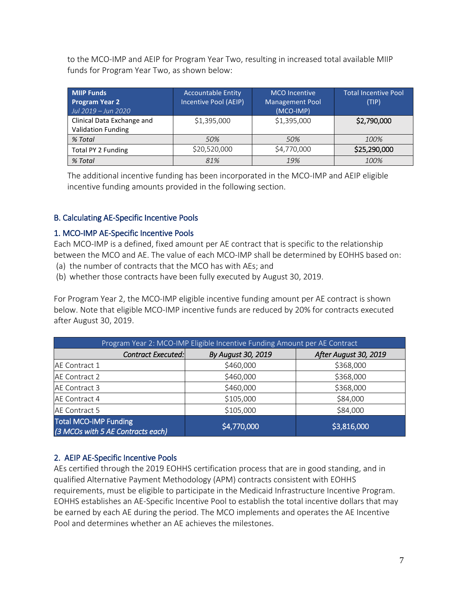to the MCO-IMP and AEIP for Program Year Two, resulting in increased total available MIIP funds for Program Year Two, as shown below:

| <b>MIIP Funds</b><br><b>Program Year 2</b><br>Jul 2019 – Jun 2020 | <b>Accountable Entity</b><br>Incentive Pool (AEIP) | <b>MCO</b> Incentive<br><b>Management Pool</b><br>(MCO-IMP) | <b>Total Incentive Pool</b><br>(TIP) |
|-------------------------------------------------------------------|----------------------------------------------------|-------------------------------------------------------------|--------------------------------------|
| Clinical Data Exchange and<br><b>Validation Funding</b>           | \$1,395,000                                        | \$1,395,000                                                 | \$2,790,000                          |
| % Total                                                           | 50%                                                | 50%                                                         | 100%                                 |
| Total PY 2 Funding                                                | \$20,520,000                                       | \$4,770,000                                                 | \$25,290,000                         |
| % Total                                                           | 81%                                                | 19%                                                         | 100%                                 |

The additional incentive funding has been incorporated in the MCO-IMP and AEIP eligible incentive funding amounts provided in the following section.

## B. Calculating AE-Specific Incentive Pools

## 1. MCO-IMP AE-Specific Incentive Pools

Each MCO-IMP is a defined, fixed amount per AE contract that is specific to the relationship between the MCO and AE. The value of each MCO-IMP shall be determined by EOHHS based on: (a) the number of contracts that the MCO has with AEs; and

(b) whether those contracts have been fully executed by August 30, 2019.

For Program Year 2, the MCO-IMP eligible incentive funding amount per AE contract is shown below. Note that eligible MCO-IMP incentive funds are reduced by 20% for contracts executed after August 30, 2019.

| Program Year 2: MCO-IMP Eligible Incentive Funding Amount per AE Contract |                    |                       |  |  |
|---------------------------------------------------------------------------|--------------------|-----------------------|--|--|
| Contract Executed:                                                        | By August 30, 2019 | After August 30, 2019 |  |  |
| AE Contract 1                                                             | \$460,000          | \$368,000             |  |  |
| AE Contract 2                                                             | \$460,000          | \$368,000             |  |  |
| AE Contract 3                                                             | \$460,000          | \$368,000             |  |  |
| AE Contract 4                                                             | \$105,000          | \$84,000              |  |  |
| AE Contract 5                                                             | \$105,000          | \$84,000              |  |  |
| <b>Total MCO-IMP Funding</b><br>(3 MCOs with 5 AE Contracts each)         | \$4,770,000        | \$3,816,000           |  |  |

## 2. AEIP AE-Specific Incentive Pools

AEs certified through the 2019 EOHHS certification process that are in good standing, and in qualified Alternative Payment Methodology (APM) contracts consistent with EOHHS requirements, must be eligible to participate in the Medicaid Infrastructure Incentive Program. EOHHS establishes an AE-Specific Incentive Pool to establish the total incentive dollars that may be earned by each AE during the period. The MCO implements and operates the AE Incentive Pool and determines whether an AE achieves the milestones.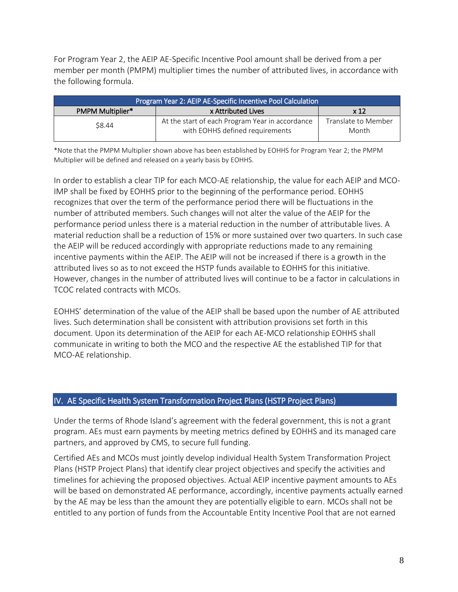For Program Year 2, the AEIP AE-Specific Incentive Pool amount shall be derived from a per member per month (PMPM) multiplier times the number of attributed lives, in accordance with the following formula.

| Program Year 2: AEIP AE-Specific Incentive Pool Calculation |                                                                                    |                              |  |
|-------------------------------------------------------------|------------------------------------------------------------------------------------|------------------------------|--|
| PMPM Multiplier*                                            | x <sub>12</sub>                                                                    |                              |  |
| \$8.44                                                      | At the start of each Program Year in accordance<br>with EOHHS defined requirements | Translate to Member<br>Month |  |

\*Note that the PMPM Multiplier shown above has been established by EOHHS for Program Year 2; the PMPM Multiplier will be defined and released on a yearly basis by EOHHS.

In order to establish a clear TIP for each MCO-AE relationship, the value for each AEIP and MCO-IMP shall be fixed by EOHHS prior to the beginning of the performance period. EOHHS recognizes that over the term of the performance period there will be fluctuations in the number of attributed members. Such changes will not alter the value of the AEIP for the performance period unless there is a material reduction in the number of attributable lives. A material reduction shall be a reduction of 15% or more sustained over two quarters. In such case the AEIP will be reduced accordingly with appropriate reductions made to any remaining incentive payments within the AEIP. The AEIP will not be increased if there is a growth in the attributed lives so as to not exceed the HSTP funds available to EOHHS for this initiative. However, changes in the number of attributed lives will continue to be a factor in calculations in TCOC related contracts with MCOs.

EOHHS' determination of the value of the AEIP shall be based upon the number of AE attributed lives. Such determination shall be consistent with attribution provisions set forth in this document. Upon its determination of the AEIP for each AE-MCO relationship EOHHS shall communicate in writing to both the MCO and the respective AE the established TIP for that MCO-AE relationship.

## IV. AE Specific Health System Transformation Project Plans (HSTP Project Plans)

Under the terms of Rhode Island's agreement with the federal government, this is not a grant program. AEs must earn payments by meeting metrics defined by EOHHS and its managed care partners, and approved by CMS, to secure full funding.

Certified AEs and MCOs must jointly develop individual Health System Transformation Project Plans (HSTP Project Plans) that identify clear project objectives and specify the activities and timelines for achieving the proposed objectives. Actual AEIP incentive payment amounts to AEs will be based on demonstrated AE performance, accordingly, incentive payments actually earned by the AE may be less than the amount they are potentially eligible to earn. MCOs shall not be entitled to any portion of funds from the Accountable Entity Incentive Pool that are not earned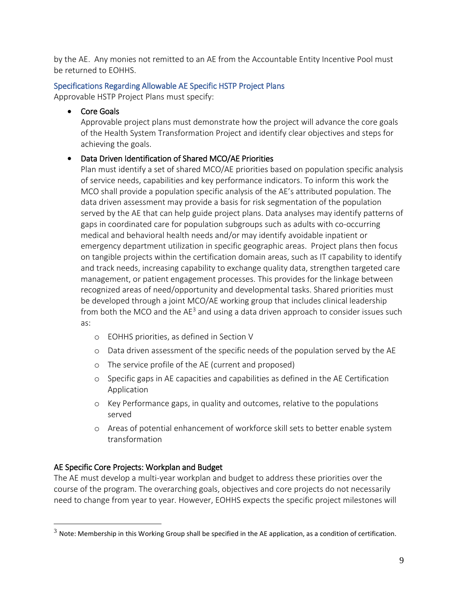by the AE. Any monies not remitted to an AE from the Accountable Entity Incentive Pool must be returned to EOHHS.

# Specifications Regarding Allowable AE Specific HSTP Project Plans

Approvable HSTP Project Plans must specify:

• Core Goals

Approvable project plans must demonstrate how the project will advance the core goals of the Health System Transformation Project and identify clear objectives and steps for achieving the goals.

# • Data Driven Identification of Shared MCO/AE Priorities

Plan must identify a set of shared MCO/AE priorities based on population specific analysis of service needs, capabilities and key performance indicators. To inform this work the MCO shall provide a population specific analysis of the AE's attributed population. The data driven assessment may provide a basis for risk segmentation of the population served by the AE that can help guide project plans. Data analyses may identify patterns of gaps in coordinated care for population subgroups such as adults with co-occurring medical and behavioral health needs and/or may identify avoidable inpatient or emergency department utilization in specific geographic areas. Project plans then focus on tangible projects within the certification domain areas, such as IT capability to identify and track needs, increasing capability to exchange quality data, strengthen targeted care management, or patient engagement processes. This provides for the linkage between recognized areas of need/opportunity and developmental tasks. Shared priorities must be developed through a joint MCO/AE working group that includes clinical leadership from both the MCO and the  $AE<sup>3</sup>$  and using a data driven approach to consider issues such as:

- o EOHHS priorities, as defined in Section V
- o Data driven assessment of the specific needs of the population served by the AE
- o The service profile of the AE (current and proposed)
- o Specific gaps in AE capacities and capabilities as defined in the AE Certification Application
- o Key Performance gaps, in quality and outcomes, relative to the populations served
- o Areas of potential enhancement of workforce skill sets to better enable system transformation

# AE Specific Core Projects: Workplan and Budget

 $\overline{a}$ 

The AE must develop a multi-year workplan and budget to address these priorities over the course of the program. The overarching goals, objectives and core projects do not necessarily need to change from year to year. However, EOHHS expects the specific project milestones will

 $3$  Note: Membership in this Working Group shall be specified in the AE application, as a condition of certification.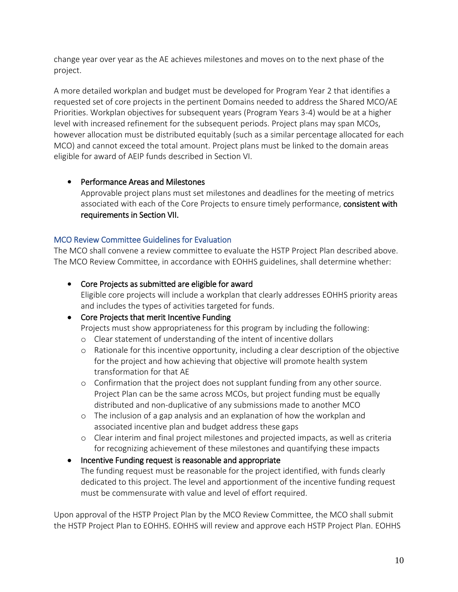change year over year as the AE achieves milestones and moves on to the next phase of the project.

A more detailed workplan and budget must be developed for Program Year 2 that identifies a requested set of core projects in the pertinent Domains needed to address the Shared MCO/AE Priorities. Workplan objectives for subsequent years (Program Years 3-4) would be at a higher level with increased refinement for the subsequent periods. Project plans may span MCOs, however allocation must be distributed equitably (such as a similar percentage allocated for each MCO) and cannot exceed the total amount. Project plans must be linked to the domain areas eligible for award of AEIP funds described in Section VI.

## • Performance Areas and Milestones

Approvable project plans must set milestones and deadlines for the meeting of metrics associated with each of the Core Projects to ensure timely performance, consistent with requirements in Section VII.

## MCO Review Committee Guidelines for Evaluation

The MCO shall convene a review committee to evaluate the HSTP Project Plan described above. The MCO Review Committee, in accordance with EOHHS guidelines, shall determine whether:

• Core Projects as submitted are eligible for award Eligible core projects will include a workplan that clearly addresses EOHHS priority areas and includes the types of activities targeted for funds.

## • Core Projects that merit Incentive Funding

Projects must show appropriateness for this program by including the following:

- o Clear statement of understanding of the intent of incentive dollars
- o Rationale for this incentive opportunity, including a clear description of the objective for the project and how achieving that objective will promote health system transformation for that AE
- o Confirmation that the project does not supplant funding from any other source. Project Plan can be the same across MCOs, but project funding must be equally distributed and non-duplicative of any submissions made to another MCO
- o The inclusion of a gap analysis and an explanation of how the workplan and associated incentive plan and budget address these gaps
- o Clear interim and final project milestones and projected impacts, as well as criteria for recognizing achievement of these milestones and quantifying these impacts

## • Incentive Funding request is reasonable and appropriate The funding request must be reasonable for the project identified, with funds clearly dedicated to this project. The level and apportionment of the incentive funding request must be commensurate with value and level of effort required.

Upon approval of the HSTP Project Plan by the MCO Review Committee, the MCO shall submit the HSTP Project Plan to EOHHS. EOHHS will review and approve each HSTP Project Plan. EOHHS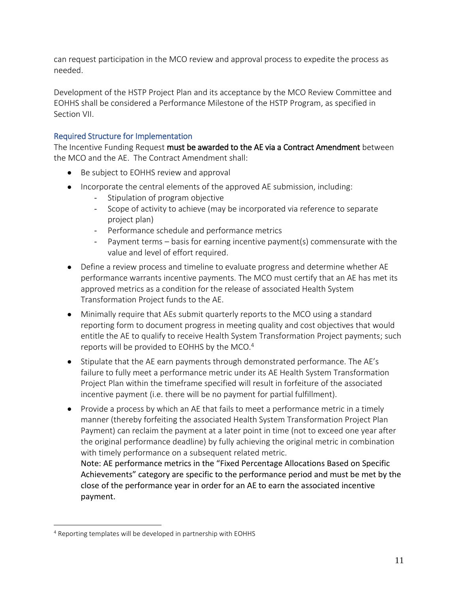can request participation in the MCO review and approval process to expedite the process as needed.

Development of the HSTP Project Plan and its acceptance by the MCO Review Committee and EOHHS shall be considered a Performance Milestone of the HSTP Program, as specified in Section VII.

## Required Structure for Implementation

The Incentive Funding Request must be awarded to the AE via a Contract Amendment between the MCO and the AE. The Contract Amendment shall:

- Be subject to EOHHS review and approval
- Incorporate the central elements of the approved AE submission, including:
	- Stipulation of program objective
	- Scope of activity to achieve (may be incorporated via reference to separate project plan)
	- Performance schedule and performance metrics
	- Payment terms basis for earning incentive payment(s) commensurate with the value and level of effort required.
- Define a review process and timeline to evaluate progress and determine whether AE performance warrants incentive payments. The MCO must certify that an AE has met its approved metrics as a condition for the release of associated Health System Transformation Project funds to the AE.
- Minimally require that AEs submit quarterly reports to the MCO using a standard reporting form to document progress in meeting quality and cost objectives that would entitle the AE to qualify to receive Health System Transformation Project payments; such reports will be provided to EOHHS by the MCO.<sup>4</sup>
- Stipulate that the AE earn payments through demonstrated performance. The AE's failure to fully meet a performance metric under its AE Health System Transformation Project Plan within the timeframe specified will result in forfeiture of the associated incentive payment (i.e. there will be no payment for partial fulfillment).
- Provide a process by which an AE that fails to meet a performance metric in a timely manner (thereby forfeiting the associated Health System Transformation Project Plan Payment) can reclaim the payment at a later point in time (not to exceed one year after the original performance deadline) by fully achieving the original metric in combination with timely performance on a subsequent related metric.

Note: AE performance metrics in the "Fixed Percentage Allocations Based on Specific Achievements" category are specific to the performance period and must be met by the close of the performance year in order for an AE to earn the associated incentive payment.

 $\overline{a}$ 

<sup>4</sup> Reporting templates will be developed in partnership with EOHHS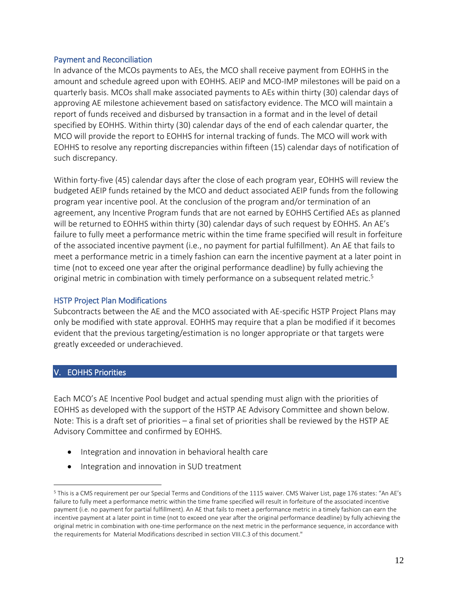#### Payment and Reconciliation

In advance of the MCOs payments to AEs, the MCO shall receive payment from EOHHS in the amount and schedule agreed upon with EOHHS. AEIP and MCO-IMP milestones will be paid on a quarterly basis. MCOs shall make associated payments to AEs within thirty (30) calendar days of approving AE milestone achievement based on satisfactory evidence. The MCO will maintain a report of funds received and disbursed by transaction in a format and in the level of detail specified by EOHHS. Within thirty (30) calendar days of the end of each calendar quarter, the MCO will provide the report to EOHHS for internal tracking of funds. The MCO will work with EOHHS to resolve any reporting discrepancies within fifteen (15) calendar days of notification of such discrepancy.

Within forty-five (45) calendar days after the close of each program year, EOHHS will review the budgeted AEIP funds retained by the MCO and deduct associated AEIP funds from the following program year incentive pool. At the conclusion of the program and/or termination of an agreement, any Incentive Program funds that are not earned by EOHHS Certified AEs as planned will be returned to EOHHS within thirty (30) calendar days of such request by EOHHS. An AE's failure to fully meet a performance metric within the time frame specified will result in forfeiture of the associated incentive payment (i.e., no payment for partial fulfillment). An AE that fails to meet a performance metric in a timely fashion can earn the incentive payment at a later point in time (not to exceed one year after the original performance deadline) by fully achieving the original metric in combination with timely performance on a subsequent related metric.<sup>5</sup>

#### HSTP Project Plan Modifications

Subcontracts between the AE and the MCO associated with AE-specific HSTP Project Plans may only be modified with state approval. EOHHS may require that a plan be modified if it becomes evident that the previous targeting/estimation is no longer appropriate or that targets were greatly exceeded or underachieved.

## V. EOHHS Priorities

 $\overline{a}$ 

Each MCO's AE Incentive Pool budget and actual spending must align with the priorities of EOHHS as developed with the support of the HSTP AE Advisory Committee and shown below. Note: This is a draft set of priorities – a final set of priorities shall be reviewed by the HSTP AE Advisory Committee and confirmed by EOHHS.

- Integration and innovation in behavioral health care
- Integration and innovation in SUD treatment

<sup>5</sup> This is a CMS requirement per our Special Terms and Conditions of the 1115 waiver. CMS Waiver List, page 176 states: "An AE's failure to fully meet a performance metric within the time frame specified will result in forfeiture of the associated incentive payment (i.e. no payment for partial fulfillment). An AE that fails to meet a performance metric in a timely fashion can earn the incentive payment at a later point in time (not to exceed one year after the original performance deadline) by fully achieving the original metric in combination with one-time performance on the next metric in the performance sequence, in accordance with the requirements for Material Modifications described in section VIII.C.3 of this document."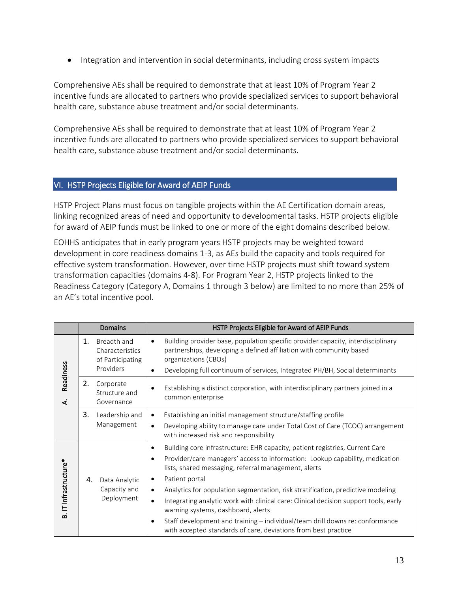• Integration and intervention in social determinants, including cross system impacts

Comprehensive AEs shall be required to demonstrate that at least 10% of Program Year 2 incentive funds are allocated to partners who provide specialized services to support behavioral health care, substance abuse treatment and/or social determinants.

Comprehensive AEs shall be required to demonstrate that at least 10% of Program Year 2 incentive funds are allocated to partners who provide specialized services to support behavioral health care, substance abuse treatment and/or social determinants.

## VI. HSTP Projects Eligible for Award of AEIP Funds

HSTP Project Plans must focus on tangible projects within the AE Certification domain areas, linking recognized areas of need and opportunity to developmental tasks. HSTP projects eligible for award of AEIP funds must be linked to one or more of the eight domains described below.

EOHHS anticipates that in early program years HSTP projects may be weighted toward development in core readiness domains 1-3, as AEs build the capacity and tools required for effective system transformation. However, over time HSTP projects must shift toward system transformation capacities (domains 4-8). For Program Year 2, HSTP projects linked to the Readiness Category (Category A, Domains 1 through 3 below) are limited to no more than 25% of an AE's total incentive pool.

|                       | Domains                                                               | HSTP Projects Eligible for Award of AEIP Funds                                                                                                                                                                                                                                                                                                                                                                                                                                                                                                                                                                                                                                          |
|-----------------------|-----------------------------------------------------------------------|-----------------------------------------------------------------------------------------------------------------------------------------------------------------------------------------------------------------------------------------------------------------------------------------------------------------------------------------------------------------------------------------------------------------------------------------------------------------------------------------------------------------------------------------------------------------------------------------------------------------------------------------------------------------------------------------|
| Readiness<br>₹        | 1.<br>Breadth and<br>Characteristics<br>of Participating<br>Providers | Building provider base, population specific provider capacity, interdisciplinary<br>$\bullet$<br>partnerships, developing a defined affiliation with community based<br>organizations (CBOs)<br>Developing full continuum of services, Integrated PH/BH, Social determinants<br>$\bullet$                                                                                                                                                                                                                                                                                                                                                                                               |
|                       | 2.<br>Corporate<br>Structure and<br>Governance                        | Establishing a distinct corporation, with interdisciplinary partners joined in a<br>$\bullet$<br>common enterprise                                                                                                                                                                                                                                                                                                                                                                                                                                                                                                                                                                      |
|                       | 3.<br>Leadership and<br>Management                                    | Establishing an initial management structure/staffing profile<br>$\bullet$<br>Developing ability to manage care under Total Cost of Care (TCOC) arrangement<br>$\bullet$<br>with increased risk and responsibility                                                                                                                                                                                                                                                                                                                                                                                                                                                                      |
| B. IT Infrastructure* | 4.<br>Data Analytic<br>Capacity and<br>Deployment                     | Building core infrastructure: EHR capacity, patient registries, Current Care<br>$\bullet$<br>Provider/care managers' access to information: Lookup capability, medication<br>$\bullet$<br>lists, shared messaging, referral management, alerts<br>Patient portal<br>$\bullet$<br>Analytics for population segmentation, risk stratification, predictive modeling<br>$\bullet$<br>Integrating analytic work with clinical care: Clinical decision support tools, early<br>$\bullet$<br>warning systems, dashboard, alerts<br>Staff development and training - individual/team drill downs re: conformance<br>$\bullet$<br>with accepted standards of care, deviations from best practice |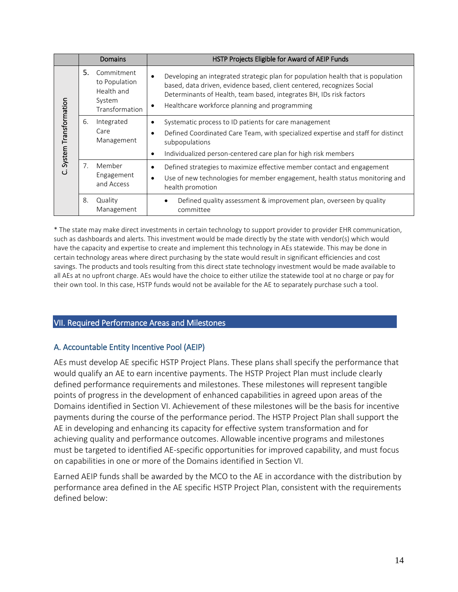|                          | <b>Domains</b> |                                                                       | HSTP Projects Eligible for Award of AEIP Funds                                                                                                                                                                                                                                                               |
|--------------------------|----------------|-----------------------------------------------------------------------|--------------------------------------------------------------------------------------------------------------------------------------------------------------------------------------------------------------------------------------------------------------------------------------------------------------|
|                          | 5.             | Commitment<br>to Population<br>Health and<br>System<br>Transformation | Developing an integrated strategic plan for population health that is population<br>$\bullet$<br>based, data driven, evidence based, client centered, recognizes Social<br>Determinants of Health, team based, integrates BH, IDs risk factors<br>Healthcare workforce planning and programming<br>$\bullet$ |
| C. System Transformation | 6.             | Integrated<br>Care<br>Management                                      | Systematic process to ID patients for care management<br>$\bullet$<br>Defined Coordinated Care Team, with specialized expertise and staff for distinct<br>٠<br>subpopulations<br>Individualized person-centered care plan for high risk members<br>$\bullet$                                                 |
|                          | 7 <sub>1</sub> | Member<br>Engagement<br>and Access                                    | Defined strategies to maximize effective member contact and engagement<br>$\bullet$<br>Use of new technologies for member engagement, health status monitoring and<br>$\bullet$<br>health promotion                                                                                                          |
|                          | 8.             | Quality<br>Management                                                 | Defined quality assessment & improvement plan, overseen by quality<br>$\bullet$<br>committee                                                                                                                                                                                                                 |

\* The state may make direct investments in certain technology to support provider to provider EHR communication, such as dashboards and alerts. This investment would be made directly by the state with vendor(s) which would have the capacity and expertise to create and implement this technology in AEs statewide. This may be done in certain technology areas where direct purchasing by the state would result in significant efficiencies and cost savings. The products and tools resulting from this direct state technology investment would be made available to all AEs at no upfront charge. AEs would have the choice to either utilize the statewide tool at no charge or pay for their own tool. In this case, HSTP funds would not be available for the AE to separately purchase such a tool.

## VII. Required Performance Areas and Milestones

## A. Accountable Entity Incentive Pool (AEIP)

AEs must develop AE specific HSTP Project Plans. These plans shall specify the performance that would qualify an AE to earn incentive payments. The HSTP Project Plan must include clearly defined performance requirements and milestones. These milestones will represent tangible points of progress in the development of enhanced capabilities in agreed upon areas of the Domains identified in Section VI. Achievement of these milestones will be the basis for incentive payments during the course of the performance period. The HSTP Project Plan shall support the AE in developing and enhancing its capacity for effective system transformation and for achieving quality and performance outcomes. Allowable incentive programs and milestones must be targeted to identified AE-specific opportunities for improved capability, and must focus on capabilities in one or more of the Domains identified in Section VI.

Earned AEIP funds shall be awarded by the MCO to the AE in accordance with the distribution by performance area defined in the AE specific HSTP Project Plan, consistent with the requirements defined below: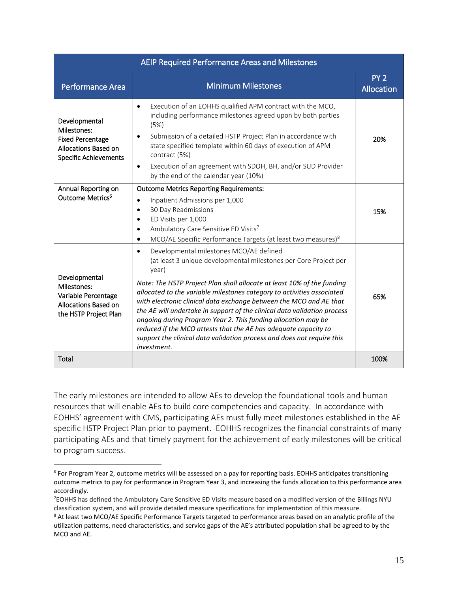| AEIP Required Performance Areas and Milestones                                                                  |                                                                                                                                                                                                                                                                                                                                                                                                                                                                                                                                                                                                                                                                      |                                      |  |  |
|-----------------------------------------------------------------------------------------------------------------|----------------------------------------------------------------------------------------------------------------------------------------------------------------------------------------------------------------------------------------------------------------------------------------------------------------------------------------------------------------------------------------------------------------------------------------------------------------------------------------------------------------------------------------------------------------------------------------------------------------------------------------------------------------------|--------------------------------------|--|--|
| <b>Performance Area</b>                                                                                         | <b>Minimum Milestones</b>                                                                                                                                                                                                                                                                                                                                                                                                                                                                                                                                                                                                                                            | PY <sub>2</sub><br><b>Allocation</b> |  |  |
| Developmental<br>Milestones:<br><b>Fixed Percentage</b><br>Allocations Based on<br><b>Specific Achievements</b> | Execution of an EOHHS qualified APM contract with the MCO,<br>$\bullet$<br>including performance milestones agreed upon by both parties<br>(5%)<br>Submission of a detailed HSTP Project Plan in accordance with<br>$\bullet$<br>state specified template within 60 days of execution of APM<br>contract (5%)<br>Execution of an agreement with SDOH, BH, and/or SUD Provider<br>$\bullet$<br>by the end of the calendar year (10%)                                                                                                                                                                                                                                  | 20%                                  |  |  |
| Annual Reporting on<br>Outcome Metrics <sup>6</sup>                                                             | <b>Outcome Metrics Reporting Requirements:</b><br>Inpatient Admissions per 1,000<br>$\bullet$<br>30 Day Readmissions<br>$\bullet$<br>ED Visits per 1,000<br>$\bullet$<br>Ambulatory Care Sensitive ED Visits7<br>$\bullet$<br>MCO/AE Specific Performance Targets (at least two measures) <sup>8</sup><br>$\bullet$                                                                                                                                                                                                                                                                                                                                                  | 15%                                  |  |  |
| Developmental<br>Milestones:<br>Variable Percentage<br>Allocations Based on<br>the HSTP Project Plan            | Developmental milestones MCO/AE defined<br>$\bullet$<br>(at least 3 unique developmental milestones per Core Project per<br>year)<br>Note: The HSTP Project Plan shall allocate at least 10% of the funding<br>allocated to the variable milestones category to activities associated<br>with electronic clinical data exchange between the MCO and AE that<br>the AE will undertake in support of the clinical data validation process<br>ongoing during Program Year 2. This funding allocation may be<br>reduced if the MCO attests that the AE has adequate capacity to<br>support the clinical data validation process and does not require this<br>investment. | 65%                                  |  |  |
| Total                                                                                                           |                                                                                                                                                                                                                                                                                                                                                                                                                                                                                                                                                                                                                                                                      | 100%                                 |  |  |

The early milestones are intended to allow AEs to develop the foundational tools and human resources that will enable AEs to build core competencies and capacity. In accordance with EOHHS' agreement with CMS, participating AEs must fully meet milestones established in the AE specific HSTP Project Plan prior to payment. EOHHS recognizes the financial constraints of many participating AEs and that timely payment for the achievement of early milestones will be critical to program success.

 $\overline{a}$ 

<sup>&</sup>lt;sup>6</sup> For Program Year 2, outcome metrics will be assessed on a pay for reporting basis. EOHHS anticipates transitioning outcome metrics to pay for performance in Program Year 3, and increasing the funds allocation to this performance area accordingly.

<sup>7</sup>EOHHS has defined the Ambulatory Care Sensitive ED Visits measure based on a modified version of the Billings NYU classification system, and will provide detailed measure specifications for implementation of this measure.

<sup>&</sup>lt;sup>8</sup> At least two MCO/AE Specific Performance Targets targeted to performance areas based on an analytic profile of the utilization patterns, need characteristics, and service gaps of the AE's attributed population shall be agreed to by the MCO and AE.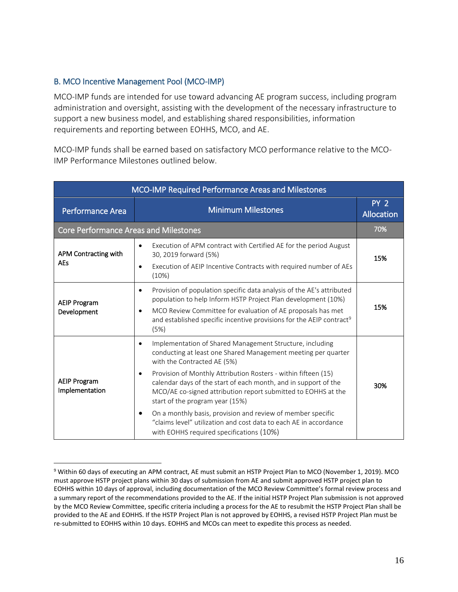## B. MCO Incentive Management Pool (MCO-IMP)

 $\overline{a}$ 

MCO-IMP funds are intended for use toward advancing AE program success, including program administration and oversight, assisting with the development of the necessary infrastructure to support a new business model, and establishing shared responsibilities, information requirements and reporting between EOHHS, MCO, and AE.

MCO-IMP funds shall be earned based on satisfactory MCO performance relative to the MCO-IMP Performance Milestones outlined below.

| MCO-IMP Required Performance Areas and Milestones |                                                                                                                                                                                                                                                                                                                                                                                                                                                                                                                                                                                                             |                               |  |  |
|---------------------------------------------------|-------------------------------------------------------------------------------------------------------------------------------------------------------------------------------------------------------------------------------------------------------------------------------------------------------------------------------------------------------------------------------------------------------------------------------------------------------------------------------------------------------------------------------------------------------------------------------------------------------------|-------------------------------|--|--|
| <b>Performance Area</b>                           | <b>Minimum Milestones</b>                                                                                                                                                                                                                                                                                                                                                                                                                                                                                                                                                                                   | PY <sub>2</sub><br>Allocation |  |  |
| <b>Core Performance Areas and Milestones</b>      |                                                                                                                                                                                                                                                                                                                                                                                                                                                                                                                                                                                                             | 70%                           |  |  |
| APM Contracting with<br><b>AEs</b>                | Execution of APM contract with Certified AE for the period August<br>$\bullet$<br>30, 2019 forward (5%)<br>Execution of AEIP Incentive Contracts with required number of AEs<br>$\bullet$<br>(10%)                                                                                                                                                                                                                                                                                                                                                                                                          | 15%                           |  |  |
| <b>AEIP Program</b><br>Development                | Provision of population specific data analysis of the AE's attributed<br>$\bullet$<br>population to help Inform HSTP Project Plan development (10%)<br>MCO Review Committee for evaluation of AE proposals has met<br>$\bullet$<br>and established specific incentive provisions for the AEIP contract <sup>9</sup><br>(5%)                                                                                                                                                                                                                                                                                 | 15%                           |  |  |
| <b>AEIP Program</b><br>Implementation             | Implementation of Shared Management Structure, including<br>$\bullet$<br>conducting at least one Shared Management meeting per quarter<br>with the Contracted AE (5%)<br>Provision of Monthly Attribution Rosters - within fifteen (15)<br>$\bullet$<br>calendar days of the start of each month, and in support of the<br>MCO/AE co-signed attribution report submitted to EOHHS at the<br>start of the program year (15%)<br>On a monthly basis, provision and review of member specific<br>"claims level" utilization and cost data to each AE in accordance<br>with EOHHS required specifications (10%) | 30%                           |  |  |

<sup>9</sup> Within 60 days of executing an APM contract, AE must submit an HSTP Project Plan to MCO (November 1, 2019). MCO must approve HSTP project plans within 30 days of submission from AE and submit approved HSTP project plan to EOHHS within 10 days of approval, including documentation of the MCO Review Committee's formal review process and a summary report of the recommendations provided to the AE. If the initial HSTP Project Plan submission is not approved by the MCO Review Committee, specific criteria including a process for the AE to resubmit the HSTP Project Plan shall be provided to the AE and EOHHS. If the HSTP Project Plan is not approved by EOHHS, a revised HSTP Project Plan must be re-submitted to EOHHS within 10 days. EOHHS and MCOs can meet to expedite this process as needed.